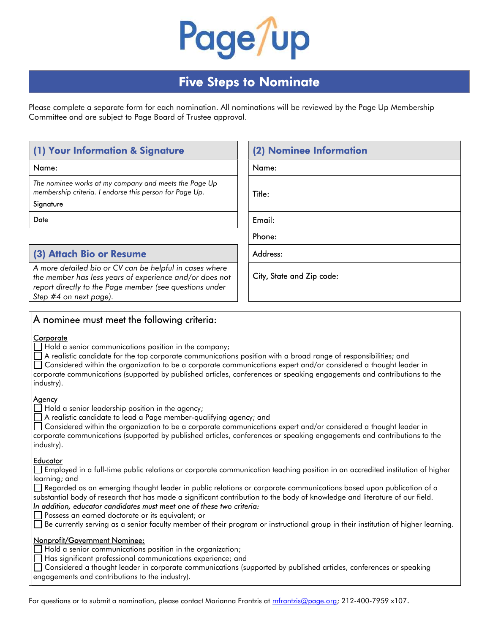

# Five Steps to Nominate

Please complete a separate form for each nomination. All nominations will be reviewed by the Page Up Membership Committee and are subject to Page Board of Trustee approval.

# (1) Your Information & Signature

#### **Signature**

# (3) Attach Bio or Resume Address:

A more detailed bio or CV can be helpful in cases where the member has less years of experience and/or does not report directly to the Page member (see questions under Step #4 on next page).

| (1) Your Information & Signature                                                                                 | (2) Nominee Information |
|------------------------------------------------------------------------------------------------------------------|-------------------------|
| Name:                                                                                                            | Name:                   |
| The nominee works at my company and meets the Page Up<br>membership criteria. I endorse this person for Page Up. | Title:                  |
| Signature                                                                                                        |                         |
| Date                                                                                                             | Email:                  |

Phone:

City, State and Zip code:

# A nominee must meet the following criteria:

#### **Corporate**

 $\exists$  Hold a senior communications position in the company;

A realistic candidate for the top corporate communications position with a broad range of responsibilities; and

 Considered within the organization to be a corporate communications expert and/or considered a thought leader in corporate communications (supported by published articles, conferences or speaking engagements and contributions to the industry).

### **Agency**

 $\Box$  Hold a senior leadership position in the agency;

A realistic candidate to lead a Page member-qualifying agency; and

 Considered within the organization to be a corporate communications expert and/or considered a thought leader in corporate communications (supported by published articles, conferences or speaking engagements and contributions to the industry).

#### **Educator**

 Employed in a full-time public relations or corporate communication teaching position in an accredited institution of higher learning; and

Regarded as an emerging thought leader in public relations or corporate communications based upon publication of a substantial body of research that has made a significant contribution to the body of knowledge and literature of our field.

#### In addition, educator candidates must meet one of these two criteria:

Possess an earned doctorate or its equivalent; or

Be currently serving as a senior faculty member of their program or instructional group in their institution of higher learning.

#### Nonprofit/Government Nominee:

Hold a senior communications position in the organization;

Has significant professional communications experience; and

 Considered a thought leader in corporate communications (supported by published articles, conferences or speaking engagements and contributions to the industry).